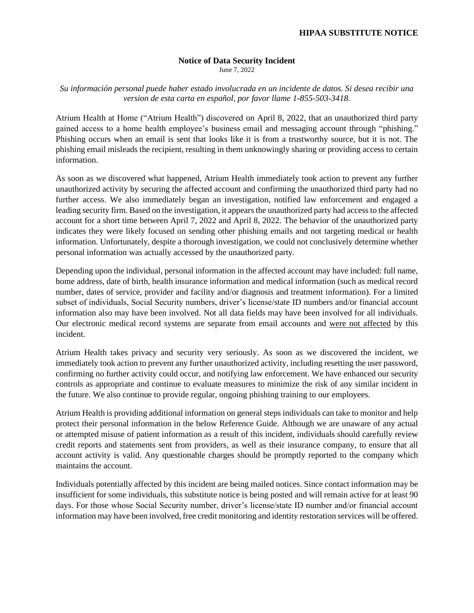#### **Notice of Data Security Incident**

June 7, 2022

*Su información personal puede haber estado involucrada en un incidente de datos. Si desea recibir una version de esta carta en español, por favor llame 1-855-503-3418.*

Atrium Health at Home ("Atrium Health") discovered on April 8, 2022, that an unauthorized third party gained access to a home health employee's business email and messaging account through "phishing." Phishing occurs when an email is sent that looks like it is from a trustworthy source, but it is not. The phishing email misleads the recipient, resulting in them unknowingly sharing or providing access to certain information.

As soon as we discovered what happened, Atrium Health immediately took action to prevent any further unauthorized activity by securing the affected account and confirming the unauthorized third party had no further access. We also immediately began an investigation, notified law enforcement and engaged a leading security firm. Based on the investigation, it appears the unauthorized party had access to the affected account for a short time between April 7, 2022 and April 8, 2022. The behavior of the unauthorized party indicates they were likely focused on sending other phishing emails and not targeting medical or health information. Unfortunately, despite a thorough investigation, we could not conclusively determine whether personal information was actually accessed by the unauthorized party.

Depending upon the individual, personal information in the affected account may have included: full name, home address, date of birth, health insurance information and medical information (such as medical record number, dates of service, provider and facility and/or diagnosis and treatment information). For a limited subset of individuals, Social Security numbers, driver's license/state ID numbers and/or financial account information also may have been involved. Not all data fields may have been involved for all individuals. Our electronic medical record systems are separate from email accounts and were not affected by this incident.

Atrium Health takes privacy and security very seriously. As soon as we discovered the incident, we immediately took action to prevent any further unauthorized activity, including resetting the user password, confirming no further activity could occur, and notifying law enforcement. We have enhanced our security controls as appropriate and continue to evaluate measures to minimize the risk of any similar incident in the future. We also continue to provide regular, ongoing phishing training to our employees.

Atrium Health is providing additional information on general steps individuals can take to monitor and help protect their personal information in the below Reference Guide. Although we are unaware of any actual or attempted misuse of patient information as a result of this incident, individuals should carefully review credit reports and statements sent from providers, as well as their insurance company, to ensure that all account activity is valid. Any questionable charges should be promptly reported to the company which maintains the account.

Individuals potentially affected by this incident are being mailed notices. Since contact information may be insufficient for some individuals, this substitute notice is being posted and will remain active for at least 90 days. For those whose Social Security number, driver's license/state ID number and/or financial account information may have been involved, free credit monitoring and identity restoration services will be offered.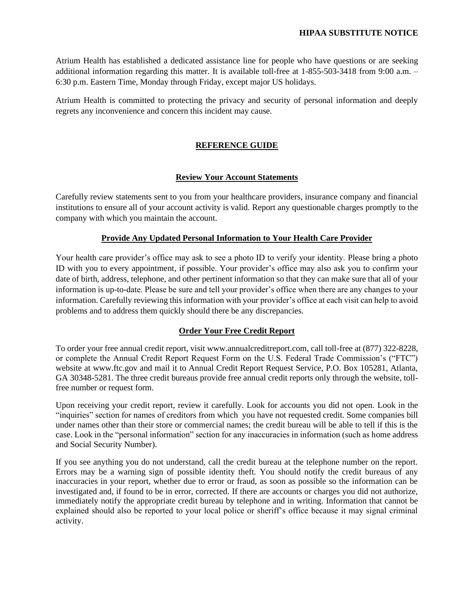Atrium Health has established a dedicated assistance line for people who have questions or are seeking additional information regarding this matter. It is available toll-free at 1-855-503-3418 from 9:00 a.m. – 6:30 p.m. Eastern Time, Monday through Friday, except major US holidays.

Atrium Health is committed to protecting the privacy and security of personal information and deeply regrets any inconvenience and concern this incident may cause.

# **REFERENCE GUIDE**

## **Review Your Account Statements**

Carefully review statements sent to you from your healthcare providers, insurance company and financial institutions to ensure all of your account activity is valid. Report any questionable charges promptly to the company with which you maintain the account.

## **Provide Any Updated Personal Information to Your Health Care Provider**

Your health care provider's office may ask to see a photo ID to verify your identity. Please bring a photo ID with you to every appointment, if possible. Your provider's office may also ask you to confirm your date of birth, address, telephone, and other pertinent information so that they can make sure that all of your information is up-to-date. Please be sure and tell your provider's office when there are any changes to your information. Carefully reviewing this information with your provider's office at each visit can help to avoid problems and to address them quickly should there be any discrepancies.

# **Order Your Free Credit Report**

To order your free annual credit report, visit www.annualcreditreport.com, call toll-free at (877) 322-8228, or complete the Annual Credit Report Request Form on the U.S. Federal Trade Commission's ("FTC") website at www.ftc.gov and mail it to Annual Credit Report Request Service, P.O. Box 105281, Atlanta, GA 30348-5281. The three credit bureaus provide free annual credit reports only through the website, tollfree number or request form.

Upon receiving your credit report, review it carefully. Look for accounts you did not open. Look in the "inquiries" section for names of creditors from which you have not requested credit. Some companies bill under names other than their store or commercial names; the credit bureau will be able to tell if this is the case. Look in the "personal information" section for any inaccuracies in information (such as home address and Social Security Number).

If you see anything you do not understand, call the credit bureau at the telephone number on the report. Errors may be a warning sign of possible identity theft. You should notify the credit bureaus of any inaccuracies in your report, whether due to error or fraud, as soon as possible so the information can be investigated and, if found to be in error, corrected. If there are accounts or charges you did not authorize, immediately notify the appropriate credit bureau by telephone and in writing. Information that cannot be explained should also be reported to your local police or sheriff's office because it may signal criminal activity.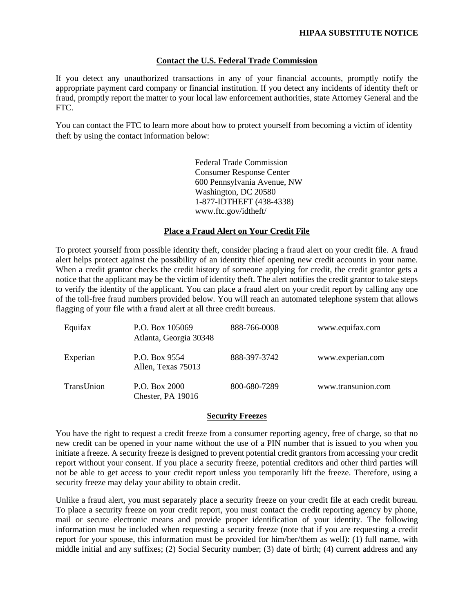### **Contact the U.S. Federal Trade Commission**

If you detect any unauthorized transactions in any of your financial accounts, promptly notify the appropriate payment card company or financial institution. If you detect any incidents of identity theft or fraud, promptly report the matter to your local law enforcement authorities, state Attorney General and the FTC.

You can contact the FTC to learn more about how to protect yourself from becoming a victim of identity theft by using the contact information below:

> Federal Trade Commission Consumer Response Center 600 Pennsylvania Avenue, NW Washington, DC 20580 1-877-IDTHEFT (438-4338) www.ftc.gov/idtheft/

## **Place a Fraud Alert on Your Credit File**

To protect yourself from possible identity theft, consider placing a fraud alert on your credit file. A fraud alert helps protect against the possibility of an identity thief opening new credit accounts in your name. When a credit grantor checks the credit history of someone applying for credit, the credit grantor gets a notice that the applicant may be the victim of identity theft. The alert notifies the credit grantor to take steps to verify the identity of the applicant. You can place a fraud alert on your credit report by calling any one of the toll-free fraud numbers provided below. You will reach an automated telephone system that allows flagging of your file with a fraud alert at all three credit bureaus.

| Equifax    | P.O. Box 105069<br>Atlanta, Georgia 30348 | 888-766-0008 | www.equifax.com    |
|------------|-------------------------------------------|--------------|--------------------|
| Experian   | P.O. Box 9554<br>Allen, Texas 75013       | 888-397-3742 | www.experian.com   |
| TransUnion | P.O. Box 2000<br>Chester, PA 19016        | 800-680-7289 | www.transunion.com |

### **Security Freezes**

You have the right to request a credit freeze from a consumer reporting agency, free of charge, so that no new credit can be opened in your name without the use of a PIN number that is issued to you when you initiate a freeze. A security freeze is designed to prevent potential credit grantors from accessing your credit report without your consent. If you place a security freeze, potential creditors and other third parties will not be able to get access to your credit report unless you temporarily lift the freeze. Therefore, using a security freeze may delay your ability to obtain credit.

Unlike a fraud alert, you must separately place a security freeze on your credit file at each credit bureau. To place a security freeze on your credit report, you must contact the credit reporting agency by phone, mail or secure electronic means and provide proper identification of your identity. The following information must be included when requesting a security freeze (note that if you are requesting a credit report for your spouse, this information must be provided for him/her/them as well): (1) full name, with middle initial and any suffixes; (2) Social Security number; (3) date of birth; (4) current address and any